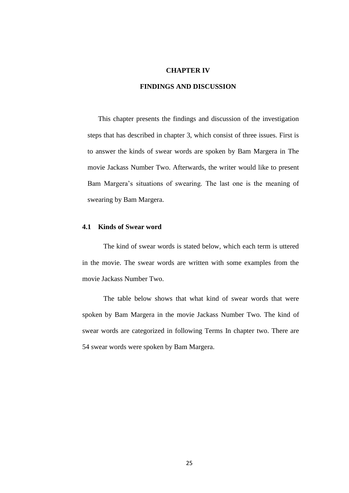### **CHAPTER IV**

# **FINDINGS AND DISCUSSION**

This chapter presents the findings and discussion of the investigation steps that has described in chapter 3, which consist of three issues. First is to answer the kinds of swear words are spoken by Bam Margera in The movie Jackass Number Two. Afterwards, the writer would like to present Bam Margera's situations of swearing. The last one is the meaning of swearing by Bam Margera.

#### **4.1 Kinds of Swear word**

The kind of swear words is stated below, which each term is uttered in the movie. The swear words are written with some examples from the movie Jackass Number Two.

The table below shows that what kind of swear words that were spoken by Bam Margera in the movie Jackass Number Two. The kind of swear words are categorized in following Terms In chapter two. There are 54 swear words were spoken by Bam Margera.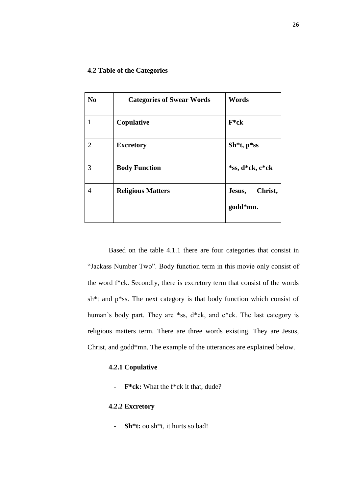| N <sub>0</sub> | <b>Categories of Swear Words</b> | <b>Words</b>                  |
|----------------|----------------------------------|-------------------------------|
|                | Copulative                       | $F^*ck$                       |
| $\overline{2}$ | <b>Excretory</b>                 | $Sh^*t, p^*ss$                |
| 3              | <b>Body Function</b>             | *ss, d*ck, c*ck               |
| 4              | <b>Religious Matters</b>         | Christ,<br>Jesus,<br>godd*mn. |
|                |                                  |                               |

Based on the table 4.1.1 there are four categories that consist in "Jackass Number Two". Body function term in this movie only consist of the word f\*ck. Secondly, there is excretory term that consist of the words sh\*t and p\*ss. The next category is that body function which consist of human's body part. They are \*ss, d\*ck, and c\*ck. The last category is religious matters term. There are three words existing. They are Jesus, Christ, and godd\*mn. The example of the utterances are explained below.

## **4.2.1 Copulative**

- **F\*ck:** What the f\*ck it that, dude?

## **4.2.2 Excretory**

- **Sh\*t:** oo sh\*t, it hurts so bad!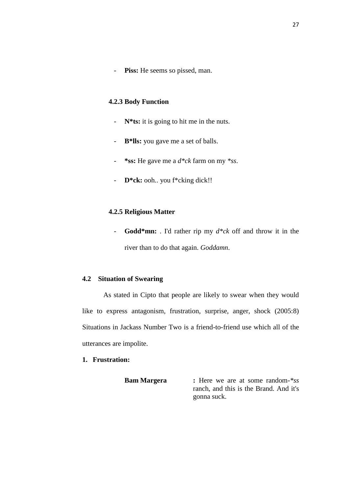- **Piss:** He seems so pissed, man.

## **4.2.3 Body Function**

- **N\*ts:** it is going to hit me in the nuts.
- **B\*lls:** you gave me a set of balls.
- **\*ss:** He gave me a *d\*ck* farm on my *\*ss*.
- **D\*ck:** ooh.. you f\*cking dick!!

### **4.2.5 Religious Matter**

- **Godd\*mn:** . I'd rather rip my *d\*ck* off and throw it in the river than to do that again. *Goddamn*.

## **4.2 Situation of Swearing**

As stated in Cipto that people are likely to swear when they would like to express antagonism, frustration, surprise, anger, shock (2005:8) Situations in Jackass Number Two is a friend-to-friend use which all of the utterances are impolite.

## **1. Frustration:**

**Bam Margera :** Here we are at some random-*\*ss* ranch, and this is the Brand. And it's gonna suck.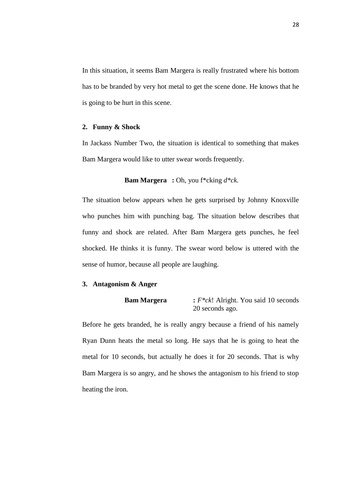In this situation, it seems Bam Margera is really frustrated where his bottom has to be branded by very hot metal to get the scene done. He knows that he is going to be hurt in this scene.

## **2. Funny & Shock**

In Jackass Number Two, the situation is identical to something that makes Bam Margera would like to utter swear words frequently.

#### **Bam Margera :** Oh, you f\*cking *d\*ck.*

The situation below appears when he gets surprised by Johnny Knoxville who punches him with punching bag. The situation below describes that funny and shock are related. After Bam Margera gets punches, he feel shocked. He thinks it is funny. The swear word below is uttered with the sense of humor, because all people are laughing.

### **3. Antagonism & Anger**

```
Bam Margera : F*ck! Alright. You said 10 seconds 
        20 seconds ago.
```
Before he gets branded, he is really angry because a friend of his namely Ryan Dunn heats the metal so long. He says that he is going to heat the metal for 10 seconds, but actually he does it for 20 seconds. That is why Bam Margera is so angry, and he shows the antagonism to his friend to stop heating the iron.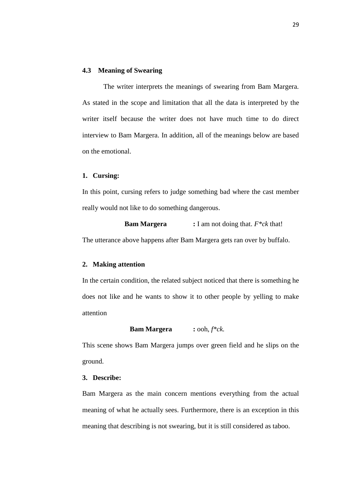#### **4.3 Meaning of Swearing**

The writer interprets the meanings of swearing from Bam Margera. As stated in the scope and limitation that all the data is interpreted by the writer itself because the writer does not have much time to do direct interview to Bam Margera. In addition, all of the meanings below are based on the emotional.

#### **1. Cursing:**

In this point, cursing refers to judge something bad where the cast member really would not like to do something dangerous.

**Bam Margera :** I am not doing that. *F\*ck* that! The utterance above happens after Bam Margera gets ran over by buffalo.

#### **2. Making attention**

In the certain condition, the related subject noticed that there is something he does not like and he wants to show it to other people by yelling to make attention

**Bam Margera :** ooh, *f\*ck.*

This scene shows Bam Margera jumps over green field and he slips on the ground.

#### **3. Describe:**

Bam Margera as the main concern mentions everything from the actual meaning of what he actually sees. Furthermore, there is an exception in this meaning that describing is not swearing, but it is still considered as taboo.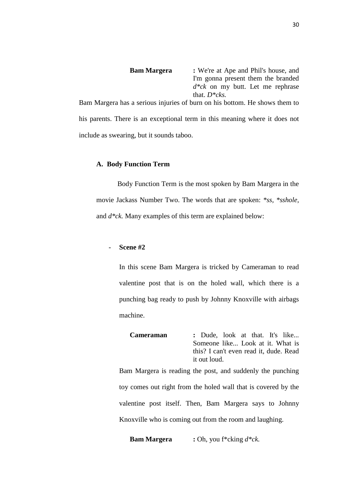**Bam Margera :** We're at Ape and Phil's house, and I'm gonna present them the branded *d\*ck* on my butt. Let me rephrase that. *D\*cks.*

Bam Margera has a serious injuries of burn on his bottom. He shows them to his parents. There is an exceptional term in this meaning where it does not include as swearing, but it sounds taboo.

### **A. Body Function Term**

Body Function Term is the most spoken by Bam Margera in the movie Jackass Number Two. The words that are spoken: *\*ss, \*sshole,*  and *d\*ck.* Many examples of this term are explained below:

### - **Scene #2**

In this scene Bam Margera is tricked by Cameraman to read valentine post that is on the holed wall, which there is a punching bag ready to push by Johnny Knoxville with airbags machine.

**Cameraman :** Dude, look at that. It's like... Someone like... Look at it. What is this? I can't even read it, dude. Read it out loud.

Bam Margera is reading the post, and suddenly the punching toy comes out right from the holed wall that is covered by the valentine post itself. Then, Bam Margera says to Johnny Knoxville who is coming out from the room and laughing.

**Bam Margera :** Oh, you f\*cking *d\*ck.*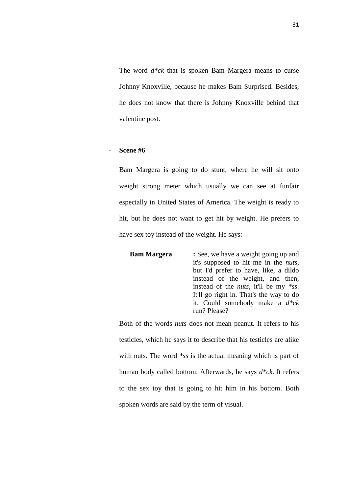The word *d\*ck* that is spoken Bam Margera means to curse Johnny Knoxville, because he makes Bam Surprised. Besides, he does not know that there is Johnny Knoxville behind that valentine post.

## - **Scene #6**

Bam Margera is going to do stunt, where he will sit onto weight strong meter which usually we can see at funfair especially in United States of America. The weight is ready to hit, but he does not want to get hit by weight. He prefers to have sex toy instead of the weight. He says:

| <b>Bam Margera</b> | : See, we have a weight going up and          |
|--------------------|-----------------------------------------------|
|                    | it's supposed to hit me in the <i>nuts</i> ,  |
|                    | but I'd prefer to have, like, a dildo         |
|                    | instead of the weight, and then,              |
|                    | instead of the <i>nuts</i> , it'll be my *ss. |
|                    | It'll go right in. That's the way to do       |
|                    | it. Could somebody make a $d^*ck$             |
|                    | run? Please?                                  |
|                    |                                               |

Both of the words *nuts* does not mean peanut. It refers to his testicles, which he says it to describe that his testicles are alike with nuts. The word *\*ss* is the actual meaning which is part of human body called bottom. Afterwards, he says *d\*ck*. It refers to the sex toy that is going to hit him in his bottom. Both spoken words are said by the term of visual.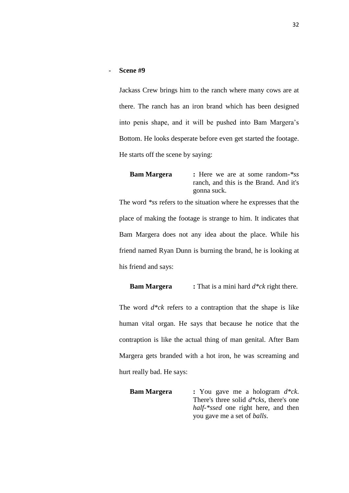- **Scene #9**

Jackass Crew brings him to the ranch where many cows are at there. The ranch has an iron brand which has been designed into penis shape, and it will be pushed into Bam Margera's Bottom. He looks desperate before even get started the footage. He starts off the scene by saying:

**Bam Margera :** Here we are at some random-*\*ss* ranch, and this is the Brand. And it's gonna suck.

The word *\*ss* refers to the situation where he expresses that the place of making the footage is strange to him. It indicates that Bam Margera does not any idea about the place. While his friend named Ryan Dunn is burning the brand, he is looking at his friend and says:

**Bam Margera :** That is a mini hard *d\*ck* right there.

The word *d\*ck* refers to a contraption that the shape is like human vital organ. He says that because he notice that the contraption is like the actual thing of man genital. After Bam Margera gets branded with a hot iron, he was screaming and hurt really bad. He says:

**Bam Margera :** You gave me a hologram *d\*ck*. There's three solid *d\*cks*, there's one *half-\*ssed* one right here, and then you gave me a set of *balls*.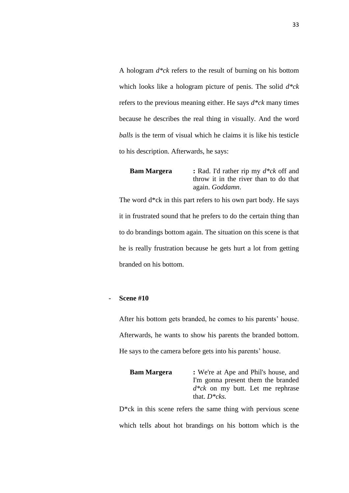A hologram *d\*ck* refers to the result of burning on his bottom which looks like a hologram picture of penis. The solid *d\*ck* refers to the previous meaning either. He says *d\*ck* many times because he describes the real thing in visually. And the word *balls* is the term of visual which he claims it is like his testicle to his description. Afterwards, he says:

**Bam Margera :** Rad. I'd rather rip my *d\*ck* off and throw it in the river than to do that again. *Goddamn*.

The word d\*ck in this part refers to his own part body. He says it in frustrated sound that he prefers to do the certain thing than to do brandings bottom again. The situation on this scene is that he is really frustration because he gets hurt a lot from getting branded on his bottom.

## - **Scene #10**

After his bottom gets branded, he comes to his parents' house. Afterwards, he wants to show his parents the branded bottom. He says to the camera before gets into his parents' house.

| <b>Bam Margera</b> | : We're at Ape and Phil's house, and  |  |
|--------------------|---------------------------------------|--|
|                    | I'm gonna present them the branded    |  |
|                    | $d * c k$ on my butt. Let me rephrase |  |
|                    | that. $D^*cks$ .                      |  |

D<sup>\*</sup>ck in this scene refers the same thing with pervious scene which tells about hot brandings on his bottom which is the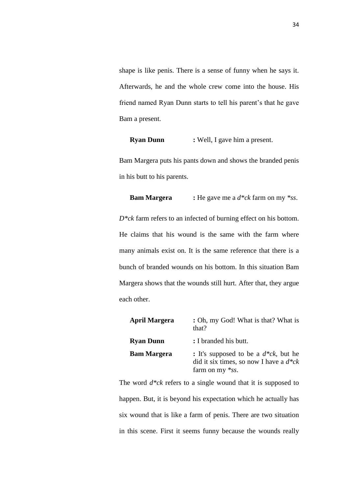shape is like penis. There is a sense of funny when he says it. Afterwards, he and the whole crew come into the house. His friend named Ryan Dunn starts to tell his parent's that he gave Bam a present.

**Ryan Dunn :** Well, I gave him a present.

Bam Margera puts his pants down and shows the branded penis in his butt to his parents.

**Bam Margera :** He gave me a *d\*ck* farm on my *\*ss*.

*D\*ck* farm refers to an infected of burning effect on his bottom. He claims that his wound is the same with the farm where many animals exist on. It is the same reference that there is a bunch of branded wounds on his bottom. In this situation Bam Margera shows that the wounds still hurt. After that, they argue each other.

| <b>April Margera</b> | : Oh, my God! What is that? What is<br>that?                                                                   |
|----------------------|----------------------------------------------------------------------------------------------------------------|
| <b>Ryan Dunn</b>     | : I branded his butt.                                                                                          |
| <b>Bam Margera</b>   | : It's supposed to be a $d^*ck$ , but he<br>did it six times, so now I have a $d^*ck$<br>farm on my $*_{SS}$ . |

The word *d\*ck* refers to a single wound that it is supposed to happen. But, it is beyond his expectation which he actually has six wound that is like a farm of penis. There are two situation in this scene. First it seems funny because the wounds really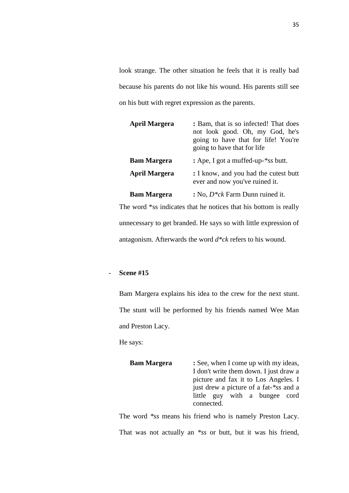look strange. The other situation he feels that it is really bad because his parents do not like his wound. His parents still see on his butt with regret expression as the parents.

| <b>April Margera</b> | : Bam, that is so infected! That does<br>not look good. Oh, my God, he's<br>going to have that for life! You're<br>going to have that for life |
|----------------------|------------------------------------------------------------------------------------------------------------------------------------------------|
| <b>Bam Margera</b>   | : Ape, I got a muffed-up-*ss butt.                                                                                                             |
| <b>April Margera</b> | : I know, and you had the cutest butt<br>ever and now you've ruined it.                                                                        |
| <b>Bam Margera</b>   | : No, $D^*ck$ Farm Dunn ruined it.                                                                                                             |

The word \*ss indicates that he notices that his bottom is really unnecessary to get branded. He says so with little expression of antagonism. Afterwards the word *d\*ck* refers to his wound.

## - **Scene #15**

Bam Margera explains his idea to the crew for the next stunt. The stunt will be performed by his friends named Wee Man and Preston Lacy.

He says:

| : See, when I come up with my ideas,   |
|----------------------------------------|
| I don't write them down. I just draw a |
| picture and fax it to Los Angeles. I   |
| just drew a picture of a fat-*ss and a |
| little guy with a bungee cord          |
| connected.                             |
|                                        |

The word *\*ss* means his friend who is namely Preston Lacy. That was not actually an *\*ss* or butt, but it was his friend,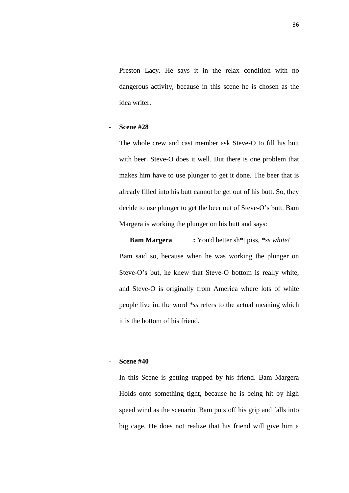Preston Lacy. He says it in the relax condition with no dangerous activity, because in this scene he is chosen as the idea writer.

## - **Scene #28**

The whole crew and cast member ask Steve-O to fill his butt with beer. Steve-O does it well. But there is one problem that makes him have to use plunger to get it done. The beer that is already filled into his butt cannot be get out of his butt. So, they decide to use plunger to get the beer out of Steve-O's butt. Bam Margera is working the plunger on his butt and says:

**Bam Margera :** You'd better sh\*t piss, *\*ss white!* Bam said so, because when he was working the plunger on Steve-O's but, he knew that Steve-O bottom is really white, and Steve-O is originally from America where lots of white people live in. the word *\*ss* refers to the actual meaning which it is the bottom of his friend.

## - **Scene #40**

In this Scene is getting trapped by his friend. Bam Margera Holds onto something tight, because he is being hit by high speed wind as the scenario. Bam puts off his grip and falls into big cage. He does not realize that his friend will give him a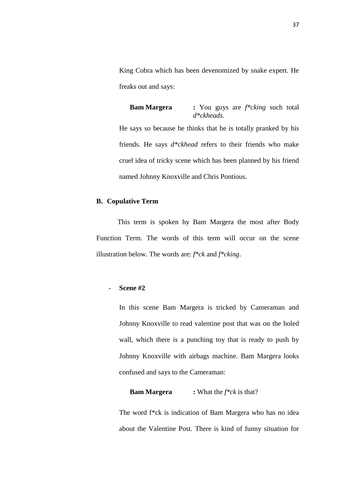King Cobra which has been devenomized by snake expert. He freaks out and says:

**Bam Margera :** You guys are *f\*cking* such total *d\*ckheads*. He says so because he thinks that he is totally pranked by his friends. He says *d\*ckhead* refers to their friends who make cruel idea of tricky scene which has been planned by his friend named Johnny Knoxville and Chris Pontious.

### **B. Copulative Term**

This term is spoken by Bam Margera the most after Body Function Term. The words of this term will occur on the scene illustration below. The words are: *f\*ck* and *f\*cking*.

### - **Scene #2**

In this scene Bam Margera is tricked by Cameraman and Johnny Knoxville to read valentine post that was on the holed wall, which there is a punching toy that is ready to push by Johnny Knoxville with airbags machine. Bam Margera looks confused and says to the Cameraman:

### **Bam Margera :** What the *f\*ck* is that?

The word f\*ck is indication of Bam Margera who has no idea about the Valentine Post. There is kind of funny situation for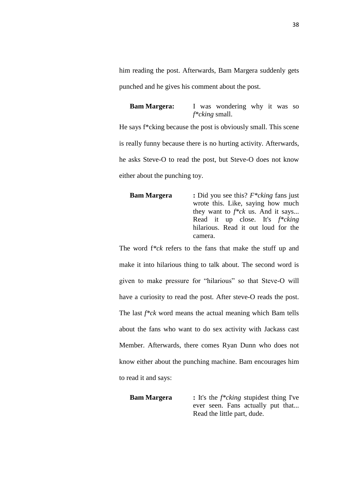him reading the post. Afterwards, Bam Margera suddenly gets punched and he gives his comment about the post.

**Bam Margera:** I was wondering why it was so *f\*cking* small.

He says f\*cking because the post is obviously small. This scene is really funny because there is no hurting activity. Afterwards, he asks Steve-O to read the post, but Steve-O does not know either about the punching toy.

```
Bam Margera : Did you see this? F*cking fans just 
        wrote this. Like, saying how much 
        they want to f*ck us. And it says... 
        Read it up close. It's f*cking
        hilarious. Read it out loud for the 
        camera.
```
The word f*\*ck* refers to the fans that make the stuff up and make it into hilarious thing to talk about. The second word is given to make pressure for "hilarious" so that Steve-O will have a curiosity to read the post. After steve-O reads the post. The last *f\*ck* word means the actual meaning which Bam tells about the fans who want to do sex activity with Jackass cast Member. Afterwards, there comes Ryan Dunn who does not know either about the punching machine. Bam encourages him to read it and says:

**Bam Margera :** It's the *f\*cking* stupidest thing I've ever seen. Fans actually put that... Read the little part, dude.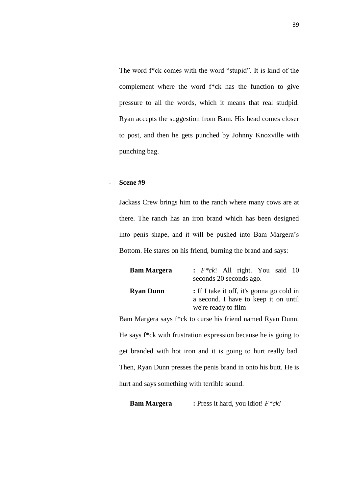The word f\*ck comes with the word "stupid". It is kind of the complement where the word f\*ck has the function to give pressure to all the words, which it means that real studpid. Ryan accepts the suggestion from Bam. His head comes closer to post, and then he gets punched by Johnny Knoxville with punching bag.

## - **Scene #9**

Jackass Crew brings him to the ranch where many cows are at there. The ranch has an iron brand which has been designed into penis shape, and it will be pushed into Bam Margera's Bottom. He stares on his friend, burning the brand and says:

| <b>Bam Margera</b> | $\colon$ F <sup>*</sup> ck! All right. You said 10<br>seconds 20 seconds ago.                            |
|--------------------|----------------------------------------------------------------------------------------------------------|
| <b>Ryan Dunn</b>   | : If I take it off, it's gonna go cold in<br>a second. I have to keep it on until<br>we're ready to film |
|                    | m Margara save f*ek to curso his friend named Dyan Dunn                                                  |

Bam Margera says f\*ck to curse his friend named Ryan Dunn. He says f\*ck with frustration expression because he is going to get branded with hot iron and it is going to hurt really bad. Then, Ryan Dunn presses the penis brand in onto his butt. He is hurt and says something with terrible sound.

**Bam Margera :** Press it hard, you idiot! *F\*ck!*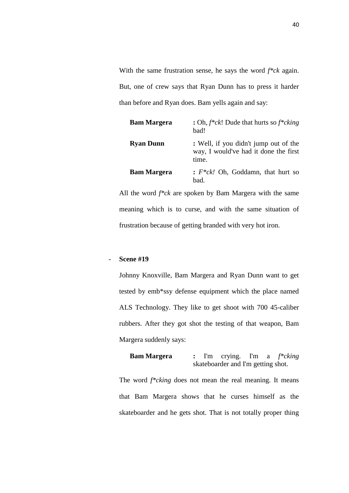With the same frustration sense, he says the word *f\*ck* again. But, one of crew says that Ryan Dunn has to press it harder than before and Ryan does. Bam yells again and say:

| <b>Bam Margera</b> | : Oh, $f * c k!$ ! Dude that hurts so $f * c k i n g$<br>bad!                           |
|--------------------|-----------------------------------------------------------------------------------------|
| <b>Ryan Dunn</b>   | : Well, if you didn't jump out of the<br>way, I would've had it done the first<br>time. |
| <b>Bam Margera</b> | : $F^*ck!$ Oh, Goddamn, that hurt so<br>bad.                                            |

All the word *f\*ck* are spoken by Bam Margera with the same meaning which is to curse, and with the same situation of frustration because of getting branded with very hot iron.

## - **Scene #19**

Johnny Knoxville, Bam Margera and Ryan Dunn want to get tested by emb\*ssy defense equipment which the place named ALS Technology. They like to get shoot with 700 45-caliber rubbers. After they got shot the testing of that weapon, Bam Margera suddenly says:

```
Bam Margera : I'm crying. I'm a f*cking
     skateboarder and I'm getting shot.
```
The word *f\*cking* does not mean the real meaning. It means that Bam Margera shows that he curses himself as the skateboarder and he gets shot. That is not totally proper thing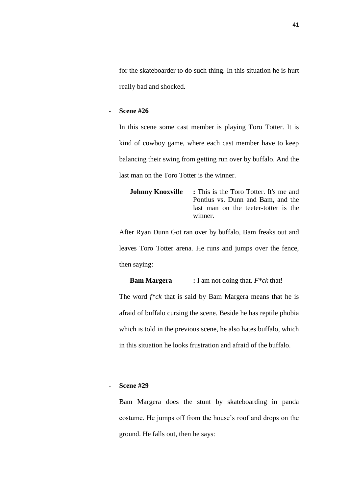for the skateboarder to do such thing. In this situation he is hurt really bad and shocked.

### - **Scene #26**

In this scene some cast member is playing Toro Totter. It is kind of cowboy game, where each cast member have to keep balancing their swing from getting run over by buffalo. And the last man on the Toro Totter is the winner.

| <b>Johnny Knoxville</b> : This is the Toro Totter. It's me and |
|----------------------------------------------------------------|
| Pontius vs. Dunn and Bam, and the                              |
| last man on the teeter-totter is the                           |
| winner.                                                        |

After Ryan Dunn Got ran over by buffalo, Bam freaks out and leaves Toro Totter arena. He runs and jumps over the fence, then saying:

**Bam Margera :** I am not doing that. *F\*ck* that!

The word *f\*ck* that is said by Bam Margera means that he is afraid of buffalo cursing the scene. Beside he has reptile phobia which is told in the previous scene, he also hates buffalo, which in this situation he looks frustration and afraid of the buffalo.

## - **Scene #29**

Bam Margera does the stunt by skateboarding in panda costume. He jumps off from the house's roof and drops on the ground. He falls out, then he says: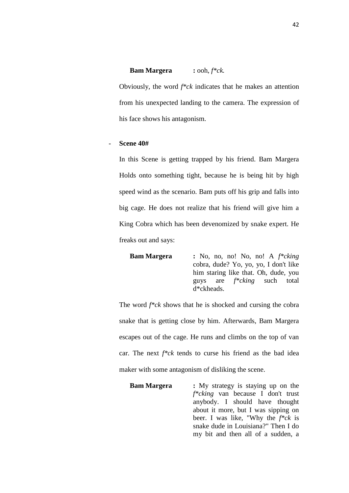**Bam Margera :** ooh, *f\*ck.* Obviously, the word *f\*ck* indicates that he makes an attention from his unexpected landing to the camera. The expression of his face shows his antagonism.

#### - **Scene 40#**

In this Scene is getting trapped by his friend. Bam Margera Holds onto something tight, because he is being hit by high speed wind as the scenario. Bam puts off his grip and falls into big cage. He does not realize that his friend will give him a King Cobra which has been devenomized by snake expert. He freaks out and says:

**Bam Margera :** No, no, no! No, no! A *f\*cking* cobra, dude? Yo, yo, yo, I don't like him staring like that. Oh, dude, you guys are *f\*cking* such total d\*ckheads.

The word *f\*ck* shows that he is shocked and cursing the cobra snake that is getting close by him. Afterwards, Bam Margera escapes out of the cage. He runs and climbs on the top of van car. The next *f\*ck* tends to curse his friend as the bad idea maker with some antagonism of disliking the scene.

**Bam Margera :** My strategy is staying up on the *f\*cking* van because I don't trust anybody. I should have thought about it more, but I was sipping on beer. I was like, "Why the *f\*ck* is snake dude in Louisiana?" Then I do my bit and then all of a sudden, a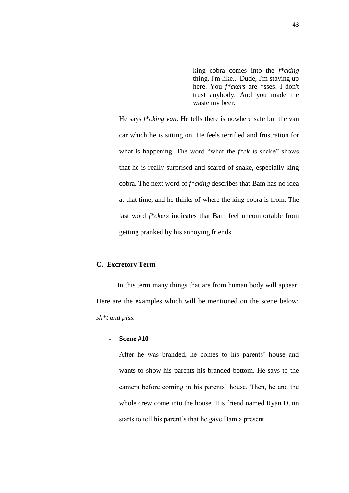king cobra comes into the *f\*cking* thing. I'm like... Dude, I'm staying up here. You *f\*ckers* are \*sses. I don't trust anybody. And you made me waste my beer.

He says *f\*cking van.* He tells there is nowhere safe but the van car which he is sitting on. He feels terrified and frustration for what is happening. The word "what the *f\*ck* is snake" shows that he is really surprised and scared of snake, especially king cobra. The next word of *f\*cking* describes that Bam has no idea at that time, and he thinks of where the king cobra is from. The last word *f\*ckers* indicates that Bam feel uncomfortable from getting pranked by his annoying friends.

### **C. Excretory Term**

In this term many things that are from human body will appear. Here are the examples which will be mentioned on the scene below: *sh\*t and piss.*

#### - **Scene #10**

After he was branded, he comes to his parents' house and wants to show his parents his branded bottom. He says to the camera before coming in his parents' house. Then, he and the whole crew come into the house. His friend named Ryan Dunn starts to tell his parent's that he gave Bam a present.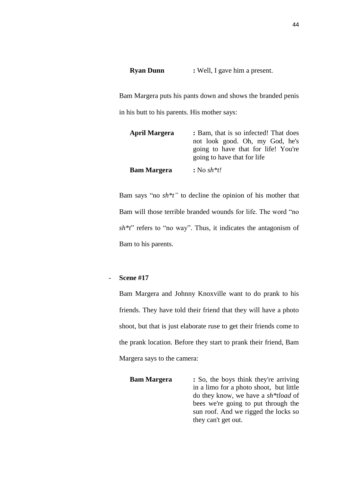**Ryan Dunn :** Well, I gave him a present.

Bam Margera puts his pants down and shows the branded penis in his butt to his parents. His mother says:

| <b>April Margera</b> | : Bam, that is so infected! That does<br>not look good. Oh, my God, he's<br>going to have that for life! You're<br>going to have that for life |
|----------------------|------------------------------------------------------------------------------------------------------------------------------------------------|
| <b>Bam Margera</b>   | : No $sh*t!$                                                                                                                                   |

Bam says "no *sh\*t"* to decline the opinion of his mother that Bam will those terrible branded wounds for life. The word "no *sh\*t*" refers to "no way". Thus, it indicates the antagonism of Bam to his parents.

## - **Scene #17**

Bam Margera and Johnny Knoxville want to do prank to his friends. They have told their friend that they will have a photo shoot, but that is just elaborate ruse to get their friends come to the prank location. Before they start to prank their friend, Bam Margera says to the camera:

**Bam Margera** : So, the boys think they're arriving in a limo for a photo shoot, but little do they know, we have a *sh\*tload* of bees we're going to put through the sun roof. And we rigged the locks so they can't get out.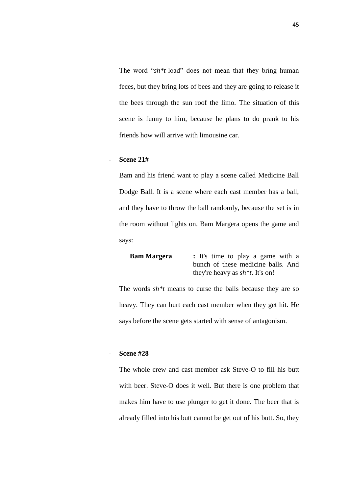The word "*sh\*t*-load" does not mean that they bring human feces, but they bring lots of bees and they are going to release it the bees through the sun roof the limo. The situation of this scene is funny to him, because he plans to do prank to his friends how will arrive with limousine car.

## - **Scene 21#**

Bam and his friend want to play a scene called Medicine Ball Dodge Ball. It is a scene where each cast member has a ball, and they have to throw the ball randomly, because the set is in the room without lights on. Bam Margera opens the game and says:

```
Bam Margera : It's time to play a game with a 
        bunch of these medicine balls. And 
        they're heavy as sh*t. It's on!
```
The words *sh\*t* means to curse the balls because they are so heavy. They can hurt each cast member when they get hit. He says before the scene gets started with sense of antagonism.

### - **Scene #28**

The whole crew and cast member ask Steve-O to fill his butt with beer. Steve-O does it well. But there is one problem that makes him have to use plunger to get it done. The beer that is already filled into his butt cannot be get out of his butt. So, they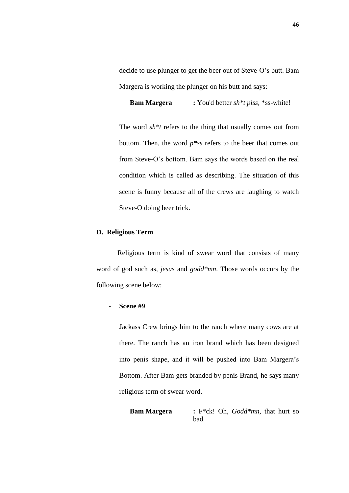decide to use plunger to get the beer out of Steve-O's butt. Bam Margera is working the plunger on his butt and says:

**Bam Margera :** You'd better *sh\*t piss*, \*ss-white!

The word *sh\*t* refers to the thing that usually comes out from bottom. Then, the word *p\*ss* refers to the beer that comes out from Steve-O's bottom. Bam says the words based on the real condition which is called as describing. The situation of this scene is funny because all of the crews are laughing to watch Steve-O doing beer trick.

### **D. Religious Term**

Religious term is kind of swear word that consists of many word of god such as, *jesus* and *godd\*mn*. Those words occurs by the following scene below:

## - **Scene #9**

Jackass Crew brings him to the ranch where many cows are at there. The ranch has an iron brand which has been designed into penis shape, and it will be pushed into Bam Margera's Bottom. After Bam gets branded by penis Brand, he says many religious term of swear word.

**Bam Margera :** F\*ck! Oh, *Godd\*mn*, that hurt so bad.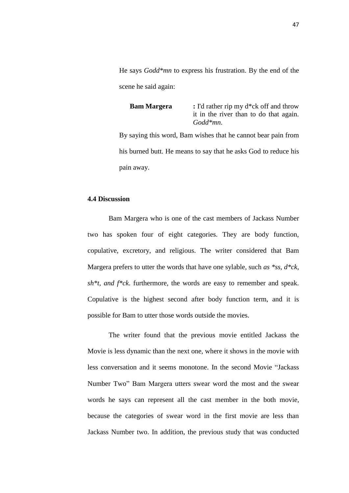He says *Godd\*mn* to express his frustration. By the end of the scene he said again:

**Bam Margera :** I'd rather rip my d\*ck off and throw it in the river than to do that again. *Godd\*mn*.

By saying this word, Bam wishes that he cannot bear pain from his burned butt. He means to say that he asks God to reduce his pain away.

# **4.4 Discussion**

Bam Margera who is one of the cast members of Jackass Number two has spoken four of eight categories. They are body function, copulative, excretory, and religious. The writer considered that Bam Margera prefers to utter the words that have one sylable, such *as \*ss, d\*ck, sh\*t, and f\*ck*. furthermore, the words are easy to remember and speak. Copulative is the highest second after body function term, and it is possible for Bam to utter those words outside the movies.

The writer found that the previous movie entitled Jackass the Movie is less dynamic than the next one, where it shows in the movie with less conversation and it seems monotone. In the second Movie "Jackass Number Two" Bam Margera utters swear word the most and the swear words he says can represent all the cast member in the both movie, because the categories of swear word in the first movie are less than Jackass Number two. In addition, the previous study that was conducted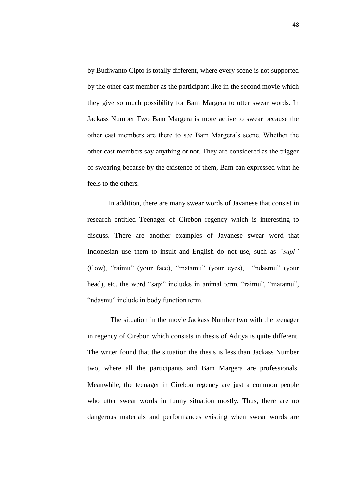by Budiwanto Cipto is totally different, where every scene is not supported by the other cast member as the participant like in the second movie which they give so much possibility for Bam Margera to utter swear words. In Jackass Number Two Bam Margera is more active to swear because the other cast members are there to see Bam Margera's scene. Whether the other cast members say anything or not. They are considered as the trigger of swearing because by the existence of them, Bam can expressed what he feels to the others.

In addition, there are many swear words of Javanese that consist in research entitled Teenager of Cirebon regency which is interesting to discuss. There are another examples of Javanese swear word that Indonesian use them to insult and English do not use, such as *"sapi"* (Cow), "raimu" (your face), "matamu" (your eyes), "ndasmu" (your head), etc. the word "sapi" includes in animal term. "raimu", "matamu", "ndasmu" include in body function term.

The situation in the movie Jackass Number two with the teenager in regency of Cirebon which consists in thesis of Aditya is quite different. The writer found that the situation the thesis is less than Jackass Number two, where all the participants and Bam Margera are professionals. Meanwhile, the teenager in Cirebon regency are just a common people who utter swear words in funny situation mostly. Thus, there are no dangerous materials and performances existing when swear words are